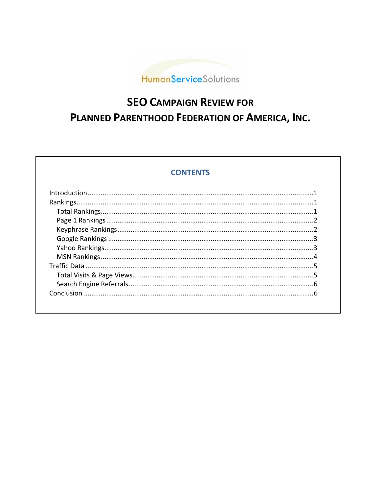

# **SEO CAMPAIGN REVIEW FOR** PLANNED PARENTHOOD FEDERATION OF AMERICA, INC.

# **CONTENTS**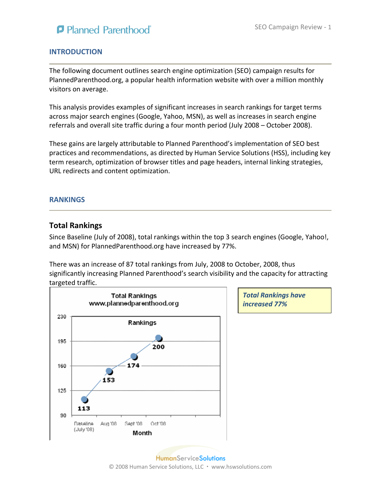

*Total Rankings have*

*increased 77%*

### **INTRODUCTION**

The following document outlines search engine optimization (SEO) campaign results for PlannedParenthood.org, a popular health information website with over a million monthly visitors on average.

This analysis provides examples of significant increases in search rankings for target terms across major search engines (Google, Yahoo, MSN), as well as increases in search engine referrals and overall site traffic during a four month period (July 2008 – October 2008).

These gains are largely attributable to Planned Parenthood's implementation of SEO best practices and recommendations, as directed by Human Service Solutions (HSS), including key term research, optimization of browser titles and page headers, internal linking strategies, URL redirects and content optimization.

#### **RANKINGS**

### **Total Rankings**

Since Baseline (July of 2008), total rankings within the top 3 search engines (Google, Yahoo!, and MSN) for PlannedParenthood.org have increased by 77%.

There was an increase of 87 total rankings from July, 2008 to October, 2008, thus significantly increasing Planned Parenthood's search visibility and the capacity for attracting targeted traffic.



**HumanServiceSolutions** © 2008 Human Service Solutions, LLC · www.hswsolutions.com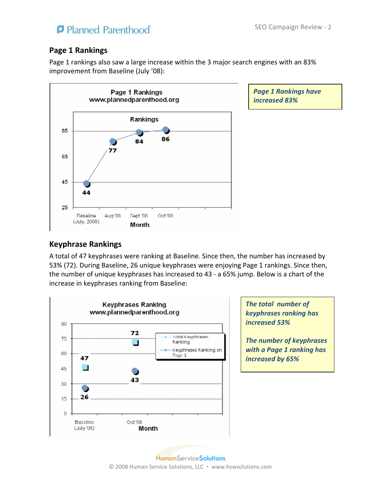# **P** Planned Parenthood

## **Page 1 Rankings**

Page 1 rankings also saw a large increase within the 3 major search engines with an 83% improvement from Baseline (July '08):



*Page 1 Rankings have increased 83%*

## **Keyphrase Rankings**

A total of 47 keyphrases were ranking at Baseline. Since then, the number has increased by 53% (72). During Baseline, 26 unique keyphrases were enjoying Page 1 rankings. Since then, the number of unique keyphrases has increased to 43 ‐ a 65% jump. Below is a chart of the increase in keyphrases ranking from Baseline:



*The total number of keyphrases ranking has increased 53%*

*The number of keyphrases with a Page 1 ranking has increased by 65%*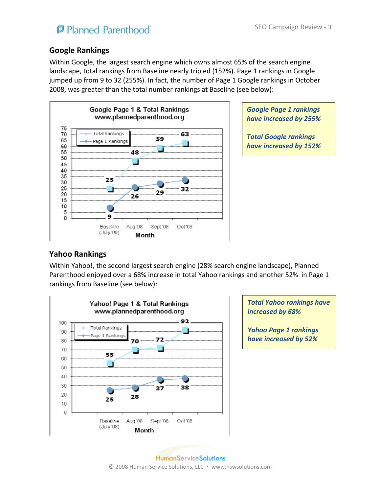# **P** Planned Parenthood

# **Google Rankings**

Within Google, the largest search engine which owns almost 65% of the search engine landscape, total rankings from Baseline nearly tripled (152%). Page 1 rankings in Google jumped up from 9 to 32 (255%). In fact, the number of Page 1 Google rankings in October 2008, was greater than the total number rankings at Baseline (see below):



*Google Page 1 rankings have increased by 255%*

*Total Google rankings have increased by 152%*

# **Yahoo Rankings**

Within Yahoo!, the second largest search engine (28% search engine landscape), Planned Parenthood enjoyed over a 68% increase in total Yahoo rankings and another 52% in Page 1 rankings from Baseline (see below):



*Total Yahoo rankings have increased by 68%*

*Yahoo Page 1 rankings have increased by 52%*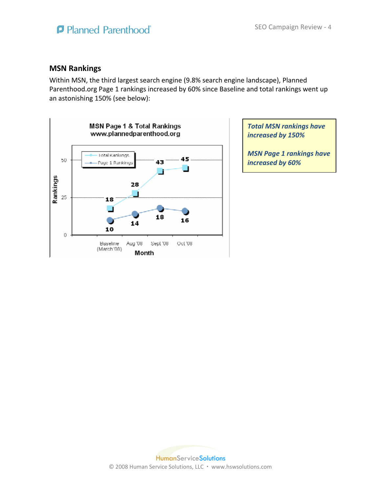### **MSN Rankings**

Within MSN, the third largest search engine (9.8% search engine landscape), Planned Parenthood.org Page 1 rankings increased by 60% since Baseline and total rankings went up an astonishing 150% (see below):



*Total MSN rankings have increased by 150%*

*MSN Page 1 rankings have increased by 60%*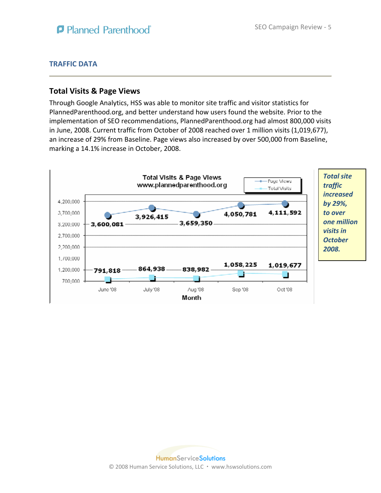### **TRAFFIC DATA**

### **Total Visits & Page Views**

Through Google Analytics, HSS was able to monitor site traffic and visitor statistics for PlannedParenthood.org, and better understand how users found the website. Prior to the implementation of SEO recommendations, PlannedParenthood.org had almost 800,000 visits in June, 2008. Current traffic from October of 2008 reached over 1 million visits (1,019,677), an increase of 29% from Baseline. Page views also increased by over 500,000 from Baseline, marking a 14.1% increase in October, 2008.